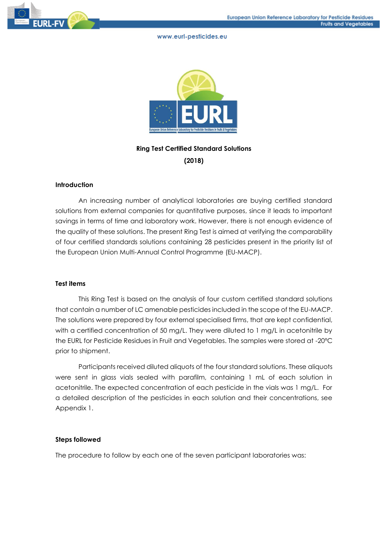



# **Ring Test Certified Standard Solutions (2018)**

# **Introduction**

An increasing number of analytical laboratories are buying certified standard solutions from external companies for quantitative purposes, since it leads to important savings in terms of time and laboratory work. However, there is not enough evidence of the quality of these solutions. The present Ring Test is aimed at verifying the comparability of four certified standards solutions containing 28 pesticides present in the priority list of the European Union Multi-Annual Control Programme (EU-MACP).

### **Test items**

This Ring Test is based on the analysis of four custom certified standard solutions that contain a number of LC amenable pesticides included in the scope of the EU-MACP. The solutions were prepared by four external specialised firms, that are kept confidential, with a certified concentration of 50 mg/L. They were diluted to 1 mg/L in acetonitrile by the EURL for Pesticide Residues in Fruit and Vegetables. The samples were stored at -20ºC prior to shipment.

Participants received diluted aliquots of the four standard solutions. These aliquots were sent in glass vials sealed with parafilm, containing 1 mL of each solution in acetonitrile. The expected concentration of each pesticide in the vials was 1 mg/L. For a detailed description of the pesticides in each solution and their concentrations, see Appendix 1.

# **Steps followed**

The procedure to follow by each one of the seven participant laboratories was: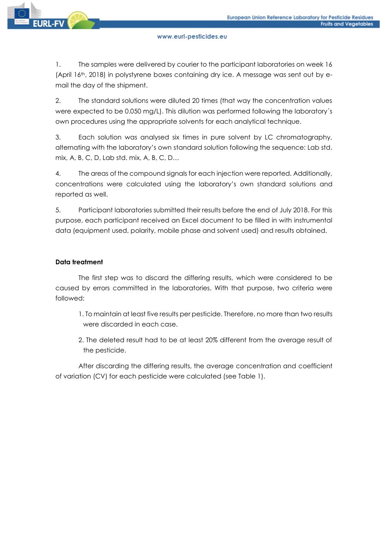1. The samples were delivered by courier to the participant laboratories on week 16 (April 16th, 2018) in polystyrene boxes containing dry ice. A message was sent out by email the day of the shipment.

2. The standard solutions were diluted 20 times (that way the concentration values were expected to be 0.050 mg/L). This dilution was performed following the laboratory´s own procedures using the appropriate solvents for each analytical technique.

3. Each solution was analysed six times in pure solvent by LC chromatography, alternating with the laboratory's own standard solution following the sequence: Lab std. mix, A, B, C, D, Lab std. mix, A, B, C, D…

4. The areas of the compound signals for each injection were reported. Additionally, concentrations were calculated using the laboratory's own standard solutions and reported as well.

5. Participant laboratories submitted their results before the end of July 2018. For this purpose, each participant received an Excel document to be filled in with instrumental data (equipment used, polarity, mobile phase and solvent used) and results obtained.

# **Data treatment**

The first step was to discard the differing results, which were considered to be caused by errors committed in the laboratories. With that purpose, two criteria were followed:

- 1. To maintain at least five results per pesticide. Therefore, no more than two results were discarded in each case.
- 2. The deleted result had to be at least 20% different from the average result of the pesticide.

After discarding the differing results, the average concentration and coefficient of variation (CV) for each pesticide were calculated (see Table 1).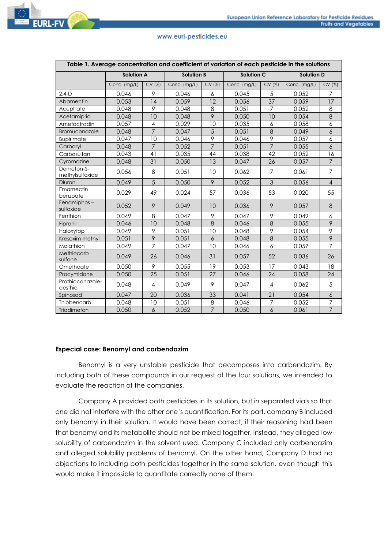

| Table 1. Average concentration and coefficient of variation of each pesticide in the solutions |                   |                |                   |                |                   |                |                   |                  |
|------------------------------------------------------------------------------------------------|-------------------|----------------|-------------------|----------------|-------------------|----------------|-------------------|------------------|
|                                                                                                | <b>Solution A</b> |                | <b>Solution B</b> |                | <b>Solution C</b> |                | <b>Solution D</b> |                  |
|                                                                                                | Conc. (mg/L)      | CV (%)         | Conc. (mg/L)      | CV (%)         | Conc. (mg/L)      | CV (%)         | Conc. (mg/L)      | CV (%)           |
| $2,4-D$                                                                                        | 0.046             | 9              | 0.046             | 6              | 0.045             | 5              | 0.052             | $\overline{7}$   |
| Abamectin                                                                                      | 0.053             | 14             | 0.059             | 12             | 0.056             | 37             | 0.059             | 17               |
| Acephate                                                                                       | 0.048             | 9              | 0.048             | 8              | 0.051             | $\overline{7}$ | 0.052             | 8                |
| Acetamiprid                                                                                    | 0.048             | 10             | 0.048             | 9              | 0.050             | 10             | 0.054             | $\,8\,$          |
| Ametoctradin                                                                                   | 0.057             | $\overline{4}$ | 0.029             | 10             | 0.035             | 6              | 0.058             | 6                |
| Bromuconazole                                                                                  | 0.048             | $\overline{7}$ | 0.047             | $\overline{5}$ | 0.051             | 8              | 0.049             | $\boldsymbol{6}$ |
| <b>Bupirimate</b>                                                                              | 0.047             | 10             | 0.046             | $\overline{9}$ | 0.046             | $\overline{9}$ | 0.057             | 6                |
| Carbaryl                                                                                       | 0.048             | $\overline{7}$ | 0.052             | $\overline{7}$ | 0.051             | $\overline{7}$ | 0.055             | 6                |
| Carbosulfan                                                                                    | 0.043             | 41             | 0.035             | 44             | 0.038             | 42             | 0.052             | 16               |
| Cyromazine                                                                                     | 0.048             | 31             | 0.050             | 13             | 0.047             | 26             | 0.057             | $\overline{7}$   |
| Demeton-S-<br>methylsulfoxide                                                                  | 0.056             | 8              | 0.051             | 10             | 0.062             | $\overline{7}$ | 0.061             | $\overline{7}$   |
| Diuron                                                                                         | 0.049             | 5              | 0.050             | 9              | 0.052             | 3              | 0.056             | $\overline{4}$   |
| Emamectin<br>benzoate                                                                          | 0.029             | 49             | 0.024             | 57             | 0.036             | 53             | 0.020             | 55               |
| Fenamiphos-<br>sulfoxide                                                                       | 0.052             | 9              | 0.049             | 10             | 0.036             | 9              | 0.057             | 8                |
| Fenthion                                                                                       | 0.049             | 8              | 0.047             | 9              | 0.047             | 9              | 0.049             | 6                |
| Fipronil                                                                                       | 0.046             | 10             | 0.048             | 8              | 0.046             | $\,8\,$        | 0.055             | 9                |
| Haloxyfop                                                                                      | 0.049             | 9              | 0.051             | 10             | 0.048             | $\mathcal{P}$  | 0.054             | 9                |
| Kresoxim methyl                                                                                | 0.051             | $\overline{9}$ | 0.051             | $\overline{6}$ | 0.048             | $\overline{8}$ | 0.055             | $\overline{9}$   |
| Malathion                                                                                      | 0.049             | $\overline{7}$ | 0.047             | 10             | 0.046             | 6              | 0.057             | $\overline{7}$   |
| Methiocarb<br>sulfone                                                                          | 0.049             | 26             | 0.046             | 31             | 0.057             | 52             | 0.036             | 26               |
| Omethoate                                                                                      | 0.050             | 9              | 0.055             | 19             | 0.053             | 17             | 0.043             | 18               |
| Procymidone                                                                                    | 0.050             | 25             | 0.051             | 27             | 0.046             | 24             | 0.058             | 24               |
| Prothioconazole-<br>desthio                                                                    | 0.048             | $\overline{4}$ | 0.049             | 9              | 0.047             | $\overline{4}$ | 0.062             | 5                |
| Spinosad                                                                                       | 0.047             | 20             | 0.036             | 33             | 0.041             | 21             | 0.054             | $\boldsymbol{6}$ |
| Thiobencarb                                                                                    | 0.048             | 10             | 0.051             | 8              | 0.046             | $\overline{7}$ | 0.052             | $\overline{7}$   |
| Triadimefon                                                                                    | 0.050             | $\delta$       | 0.052             | $\overline{7}$ | 0.050             | $\delta$       | 0.061             | $\overline{7}$   |

### **Especial case: Benomyl and carbendazim**

Benomyl is a very unstable pesticide that decomposes into carbendazim. By including both of these compounds in our request of the four solutions, we intended to evaluate the reaction of the companies.

Company A provided both pesticides in its solution, but in separated vials so that one did not interfere with the other one's quantification. For its part, company B included only benomyl in their solution. It would have been correct, if their reasoning had been that benomyl and its metabolite should not be mixed together. Instead, they alleged low solubility of carbendazim in the solvent used. Company C included only carbendazim and alleged solubility problems of benomyl. On the other hand, Company D had no objections to including both pesticides together in the same solution, even though this would make it impossible to quantitate correctly none of them.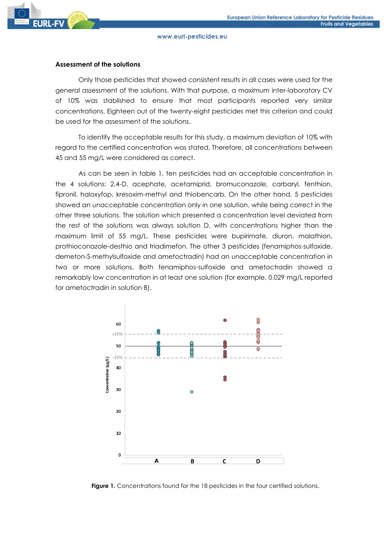## **Assessment of the solutions**

Only those pesticides that showed consistent results in all cases were used for the general assessment of the solutions. With that purpose, a maximum inter-laboratory CV of 10% was stablished to ensure that most participants reported very similar concentrations. Eighteen out of the twenty-eight pesticides met this criterion and could be used for the assessment of the solutions.

To identify the acceptable results for this study, a maximum deviation of 10% with regard to the certified concentration was stated. Therefore, all concentrations between 45 and 55 mg/L were considered as correct.

As can be seen in table 1, ten pesticides had an acceptable concentration in the 4 solutions: 2,4-D, acephate, acetamiprid, bromuconazole, carbaryl, fenthion, fipronil, haloxyfop, kresoxim-methyl and thiobencarb. On the other hand, 5 pesticides showed an unacceptable concentration only in one solution, while being correct in the other three solutions. The solution which presented a concentration level deviated from the rest of the solutions was always solution D, with concentrations higher than the maximum limit of 55 mg/L. These pesticides were bupirimate, diuron, malathion, prothioconazole-desthio and triadimefon. The other 3 pesticides (fenamiphos-sulfoxide, demeton-S-methylsulfoxide and ametoctradin) had an unacceptable concentration in two or more solutions. Both fenamiphos-sulfoxide and ametoctradin showed a remarkably low concentration in at least one solution (for example, 0.029 mg/L reported for ametoctradin in solution B).



**Figure 1.** Concentrations found for the 18 pesticides in the four certified solutions.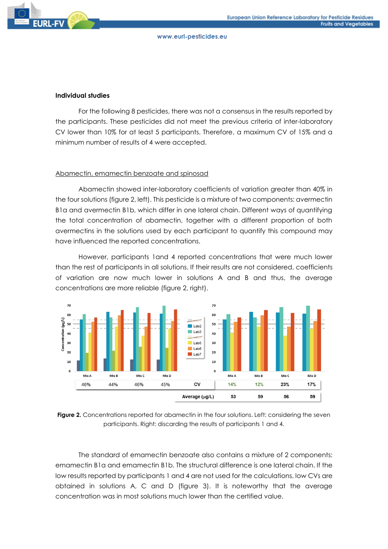# **Individual studies**

For the following 8 pesticides, there was not a consensus in the results reported by the participants. These pesticides did not meet the previous criteria of inter-laboratory CV lower than 10% for at least 5 participants. Therefore, a maximum CV of 15% and a minimum number of results of 4 were accepted.

# Abamectin, emamectin benzoate and spinosad

Abamectin showed inter-laboratory coefficients of variation greater than 40% in the four solutions (figure 2, left). This pesticide is a mixture of two components: avermectin B1a and avermectin B1b, which differ in one lateral chain. Different ways of quantifying the total concentration of abamectin, together with a different proportion of both avermectins in the solutions used by each participant to quantify this compound may have influenced the reported concentrations.

However, participants 1and 4 reported concentrations that were much lower than the rest of participants in all solutions. If their results are not considered, coefficients of variation are now much lower in solutions A and B and thus, the average concentrations are more reliable (figure 2, right).



**Figure 2.** Concentrations reported for abamectin in the four solutions. Left: considering the seven participants. Right: discarding the results of participants 1 and 4.

The standard of emamectin benzoate also contains a mixture of 2 components: emamectin B1a and emamectin B1b. The structural difference is one lateral chain. If the low results reported by participants 1 and 4 are not used for the calculations, low CVs are obtained in solutions A, C and D (figure 3). It is noteworthy that the average concentration was in most solutions much lower than the certified value.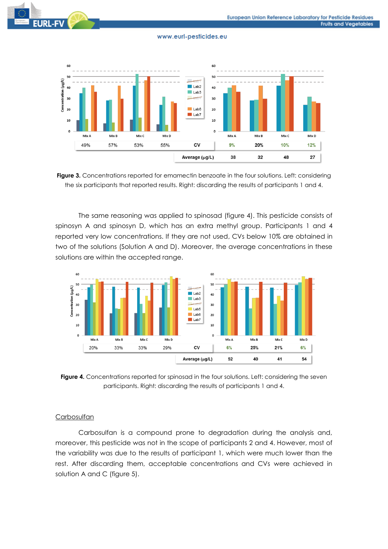



**Figure 3.** Concentrations reported for emamectin benzoate in the four solutions. Left: considering the six participants that reported results. Right: discarding the results of participants 1 and 4.

The same reasoning was applied to spinosad (figure 4). This pesticide consists of spinosyn A and spinosyn D, which has an extra methyl group. Participants 1 and 4 reported very low concentrations. If they are not used, CVs below 10% are obtained in two of the solutions (Solution A and D). Moreover, the average concentrations in these solutions are within the accepted range.



**Figure 4.** Concentrations reported for spinosad in the four solutions. Left: considering the seven participants. Right: discarding the results of participants 1 and 4.

# **Carbosulfan**

Carbosulfan is a compound prone to degradation during the analysis and, moreover, this pesticide was not in the scope of participants 2 and 4. However, most of the variability was due to the results of participant 1, which were much lower than the rest. After discarding them, acceptable concentrations and CVs were achieved in solution A and C (figure 5).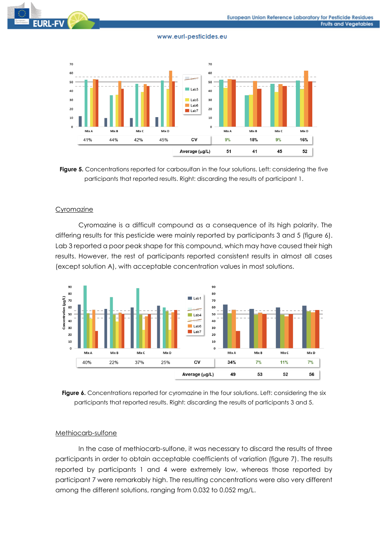

Figure 5. Concentrations reported for carbosulfan in the four solutions. Left: considering the five participants that reported results. Right: discarding the results of participant 1.

### **Cyromazine**

Cyromazine is a difficult compound as a consequence of its high polarity. The differing results for this pesticide were mainly reported by participants 3 and 5 (figure 6). Lab 3 reported a poor peak shape for this compound, which may have caused their high results. However, the rest of participants reported consistent results in almost all cases (except solution A), with acceptable concentration values in most solutions.



**Figure 6.** Concentrations reported for cyromazine in the four solutions. Left: considering the six participants that reported results. Right: discarding the results of participants 3 and 5.

### Methiocarb-sulfone

In the case of methiocarb-sulfone, it was necessary to discard the results of three participants in order to obtain acceptable coefficients of variation (figure 7). The results reported by participants 1 and 4 were extremely low, whereas those reported by participant 7 were remarkably high. The resulting concentrations were also very different among the different solutions, ranging from 0.032 to 0.052 mg/L.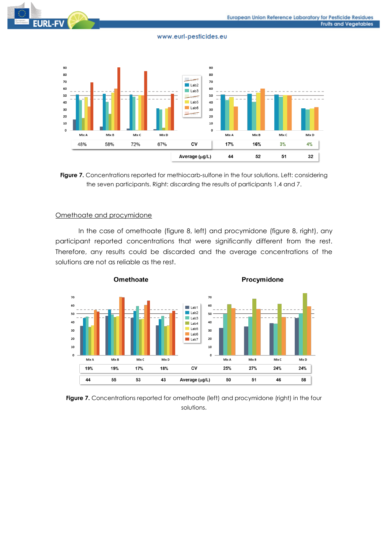



### Omethoate and procymidone

In the case of omethoate (figure 8, left) and procymidone (figure 8, right), any participant reported concentrations that were significantly different from the rest. Therefore, any results could be discarded and the average concentrations of the solutions are not as reliable as the rest.



Figure 7. Concentrations reported for omethoate (left) and procymidone (right) in the four solutions.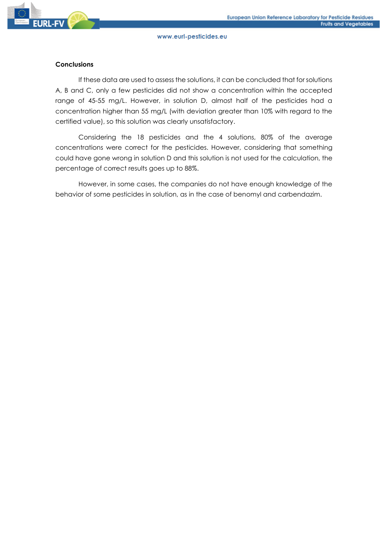# **Conclusions**

If these data are used to assess the solutions, it can be concluded that for solutions A, B and C, only a few pesticides did not show a concentration within the accepted range of 45-55 mg/L. However, in solution D, almost half of the pesticides had a concentration higher than 55 mg/L (with deviation greater than 10% with regard to the certified value), so this solution was clearly unsatisfactory.

Considering the 18 pesticides and the 4 solutions, 80% of the average concentrations were correct for the pesticides. However, considering that something could have gone wrong in solution D and this solution is not used for the calculation, the percentage of correct results goes up to 88%.

However, in some cases, the companies do not have enough knowledge of the behavior of some pesticides in solution, as in the case of benomyl and carbendazim.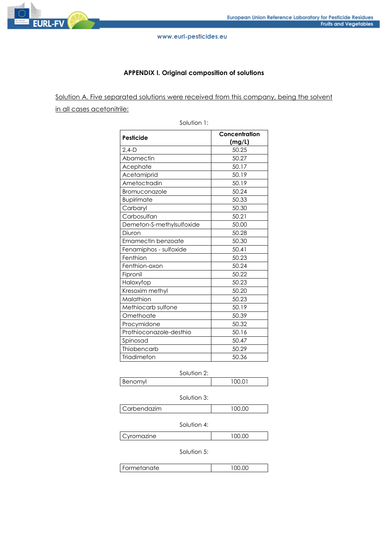

# **APPENDIX I. Original composition of solutions**

Solution A. Five separated solutions were received from this company, being the solvent in all cases acetonitrile:

|                           | Concentration<br>(mg/L) |  |  |
|---------------------------|-------------------------|--|--|
| Pesticide                 |                         |  |  |
| $2,4-D$                   | 50.25                   |  |  |
| Abamectin                 | 50.27                   |  |  |
| Acephate                  | 50.17                   |  |  |
| Acetamiprid               | 50.19                   |  |  |
| Ametoctradin              | 50.19                   |  |  |
| Bromuconazole             | 50.24                   |  |  |
| <b>Bupirimate</b>         | 50.33                   |  |  |
| Carbaryl                  | 50.30                   |  |  |
| Carbosulfan               | 50.21                   |  |  |
| Demeton-S-methylsulfoxide | 50.00                   |  |  |
| Diuron                    | 50.28                   |  |  |
| Emamectin benzoate        | 50.30                   |  |  |
| Fenamiphos - sulfoxide    | 50.41                   |  |  |
| Fenthion                  | 50.23                   |  |  |
| Fenthion-oxon             | 50.24                   |  |  |
| Fipronil                  | 50.22                   |  |  |
| Haloxyfop                 | 50.23                   |  |  |
| Kresoxim methyl           | 50.20                   |  |  |
| Malathion                 | 50.23                   |  |  |
| Methiocarb sulfone        | 50.19                   |  |  |
| Omethoate                 | 50.39                   |  |  |
| Procymidone               | 50.32                   |  |  |
| Prothioconazole-desthio   | 50.16                   |  |  |
| Spinosad                  | 50.47                   |  |  |
| Thiobencarb               | 50.29                   |  |  |
| Triadimefon               | 50.36                   |  |  |

Solution 1:

Solution 2:

Benomyl 100.01

Solution 3: Carbendazim 100.00

Solution 4:

Cyromazine 100.00

Solution 5:

| Formetanate | ີ ດ ບ |
|-------------|-------|
|             |       |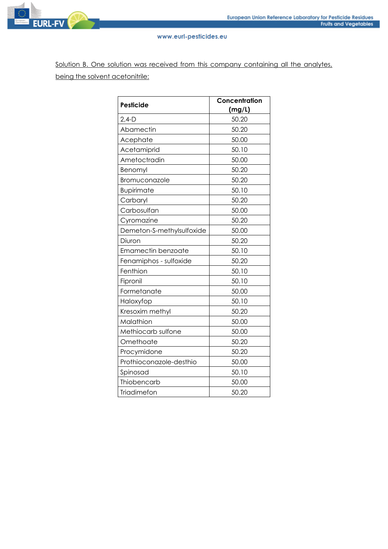

Solution B. One solution was received from this company containing all the analytes, being the solvent acetonitrile:

| Pesticide                 | Concentration<br>(mg/L) |  |  |
|---------------------------|-------------------------|--|--|
| $2,4-D$                   | 50.20                   |  |  |
| Abamectin                 | 50.20                   |  |  |
| Acephate                  | 50.00                   |  |  |
| Acetamiprid               | 50.10                   |  |  |
| Ametoctradin              | 50.00                   |  |  |
| Benomyl                   | 50.20                   |  |  |
| Bromuconazole             | 50.20                   |  |  |
| Bupirimate                | 50.10                   |  |  |
| Carbaryl                  | 50.20                   |  |  |
| Carbosulfan               | 50.00                   |  |  |
| Cyromazine                | 50.20                   |  |  |
| Demeton-S-methylsulfoxide | 50.00                   |  |  |
| Diuron                    | 50.20                   |  |  |
| Emamectin benzoate        | 50.10                   |  |  |
| Fenamiphos - sulfoxide    | 50.20                   |  |  |
| Fenthion                  | 50.10                   |  |  |
| Fipronil                  | 50.10                   |  |  |
| Formetanate               | 50.00                   |  |  |
| Haloxyfop                 | 50.10                   |  |  |
| Kresoxim methyl           | 50.20                   |  |  |
| Malathion                 | 50.00                   |  |  |
| Methiocarb sulfone        | 50.00                   |  |  |
| Omethoate                 | 50.20                   |  |  |
| Procymidone               | 50.20                   |  |  |
| Prothioconazole-desthio   | 50.00                   |  |  |
| Spinosad                  | 50.10                   |  |  |
| Thiobencarb               | 50.00                   |  |  |
| Triadimefon               | 50.20                   |  |  |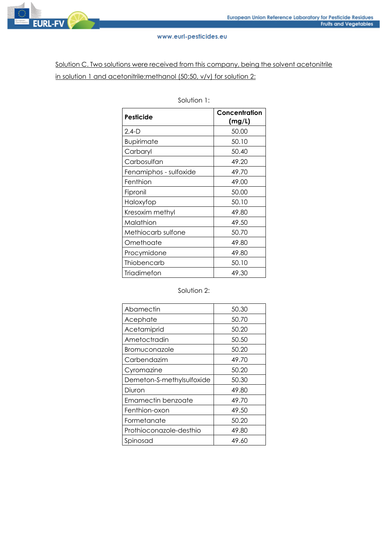

Solution C. Two solutions were received from this company, being the solvent acetonitrile in solution 1 and acetonitrile: methanol (50:50, v/v) for solution 2:

| <b>Pesticide</b>       | Concentration<br>(mg/L) |
|------------------------|-------------------------|
| 2,4-D                  | 50.00                   |
| <b>Bupirimate</b>      | 50.10                   |
| Carbaryl               | 50.40                   |
| Carbosulfan            | 49.20                   |
| Fenamiphos - sulfoxide | 49.70                   |
| Fenthion               | 49.00                   |
| Fipronil               | 50.00                   |
| Haloxyfop              | 50.10                   |
| Kresoxim methyl        | 49.80                   |
| Malathion              | 49.50                   |
| Methiocarb sulfone     | 50.70                   |
| Omethoate              | 49.80                   |
| Procymidone            | 49.80                   |
| Thiobencarb            | 50.10                   |
| Triadimefon            | 49.30                   |

Solution 1:

# Solution 2:

| Abamectin                 | 50.30 |
|---------------------------|-------|
| Acephate                  | 50.70 |
| Acetamiprid               | 50.20 |
| Ametoctradin              | 50.50 |
| Bromuconazole             | 50.20 |
| Carbendazim               | 49.70 |
| Cyromazine                | 50.20 |
| Demeton-S-methylsulfoxide | 50.30 |
| Diuron                    | 49.80 |
| Emamectin benzoate        | 49.70 |
| Fenthion-oxon             | 49.50 |
| Formetanate               | 50.20 |
| Prothioconazole-desthio   | 49.80 |
| Spinosad                  | 49.60 |